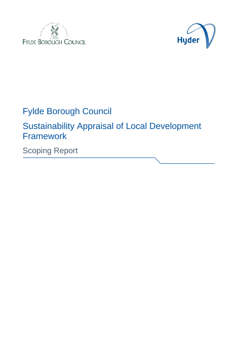



# Fylde Borough Council

Sustainability Appraisal of Local Development Framework

Scoping Report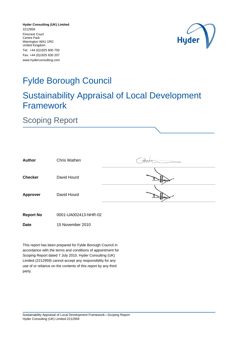**Hyder Consulting (UK) Limited** Warrington WA1 1RG Tel: +44 (0)1925 800 700 Fax: +44 (0)1925 830 207 www.hyderconsulting.com 2212959 Firecrest Court Centre Park United Kingdom



# Fylde Borough Council

# Sustainability Appraisal of Local Development Framework

# Scoping Report

| <b>Author</b>    | Chris Wathen         |    |
|------------------|----------------------|----|
| <b>Checker</b>   | David Hourd          |    |
| <b>Approver</b>  | David Hourd          | tw |
| <b>Report No</b> | 0001-UA002413-NHR-02 |    |

**Date** 15 November 2010

This report has been prepared for Fylde Borough Council in accordance with the terms and conditions of appointment for Scoping Report dated 7 July 2010. Hyder Consulting (UK) Limited (2212959) cannot accept any responsibility for any use of or reliance on the contents of this report by any third party.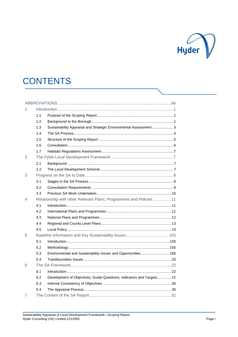

# **CONTENTS**

| 1 |     |                                                                       |
|---|-----|-----------------------------------------------------------------------|
|   | 1.1 |                                                                       |
|   | 1.2 |                                                                       |
|   | 1.3 | Sustainability Appraisal and Strategic Environmental Assessment3      |
|   | 1.4 |                                                                       |
|   | 1.5 |                                                                       |
|   | 1.6 |                                                                       |
|   | 1.7 |                                                                       |
| 2 |     |                                                                       |
|   | 2.1 |                                                                       |
|   | 2.2 |                                                                       |
| 3 |     |                                                                       |
|   | 3.1 |                                                                       |
|   | 3.2 |                                                                       |
|   | 3.3 |                                                                       |
| 4 |     | Relationship with other Relevant Plans, Programmes and Policies 11    |
|   | 4.1 |                                                                       |
|   | 4.2 |                                                                       |
|   | 4.3 |                                                                       |
|   | 4.4 |                                                                       |
|   | 4.5 |                                                                       |
| 5 |     |                                                                       |
|   | 5.1 |                                                                       |
|   | 5.2 |                                                                       |
|   | 5.3 | Environmental and Sustainability Issues and Opportunities 166         |
|   | 5.4 |                                                                       |
| 6 |     |                                                                       |
|   | 6.1 |                                                                       |
|   | 6.2 | Development of Objectives, Guide Questions, Indicators and Targets 22 |
|   | 6.3 |                                                                       |
|   | 6.4 |                                                                       |
| 7 |     |                                                                       |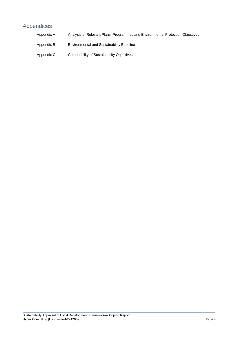# Appendices

| Appendix A | Analysis of Relevant Plans, Programmes and Environmental Protection Objectives |
|------------|--------------------------------------------------------------------------------|
| Appendix B | <b>Environmental and Sustainability Baseline</b>                               |
| Appendix C | Compatibility of Sustainability Objectives                                     |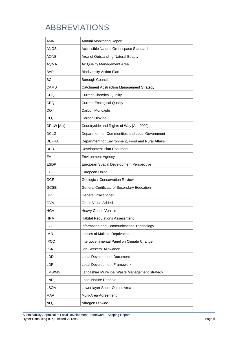# <span id="page-6-0"></span>ABBREVIATIONS

| AMR             | <b>Annual Monitoring Report</b>                    |
|-----------------|----------------------------------------------------|
| ANGSt           | Accessible Natural Greenspace Standards            |
| <b>AONB</b>     | Area of Outstanding Natural Beauty                 |
| <b>AOMA</b>     | Air Quality Management Area                        |
| <b>BAP</b>      | <b>Biodiversity Action Plan</b>                    |
| ВC              | Borough Council                                    |
| CAMS            | <b>Catchment Abstraction Management Strategy</b>   |
| CCQ             | <b>Current Chemical Quality</b>                    |
| <b>CEQ</b>      | <b>Current Ecological Quality</b>                  |
| CO              | Carbon Monoxide                                    |
| CO <sub>2</sub> | Carbon Dioxide                                     |
| CRoW [Act]      | Countryside and Rights of Way [Act 2000]           |
| <b>DCLG</b>     | Department for Communities and Local Government    |
| <b>DEFRA</b>    | Department for Environment, Food and Rural Affairs |
| <b>DPD</b>      | Development Plan Document                          |
| EA              | <b>Environment Agency</b>                          |
| <b>ESDP</b>     | European Spatial Development Perspective           |
| EU              | European Union                                     |
| <b>GCR</b>      | <b>Geological Conservation Review</b>              |
| <b>GCSE</b>     | General Certificate of Secondary Education         |
| GP              | <b>General Practitioner</b>                        |
| <b>GVA</b>      | Gross Value Added                                  |
| <b>HGV</b>      | Heavy Goods Vehicle                                |
| <b>HRA</b>      | <b>Habitat Regulations Assessment</b>              |
| <b>ICT</b>      | Information and Communications Technology          |
| <b>IMD</b>      | Indices of Multiple Deprivation                    |
| <b>IPCC</b>     | Intergovernmental Panel on Climate Change          |
| <b>JSA</b>      | Job-Seekers' Allowance                             |
| LDD             | Local Development Document                         |
| LDF             | Local Development Framework                        |
| <b>LMWMS</b>    | Lancashire Municipal Waste Management Strategy     |
| <b>LNR</b>      | <b>Local Nature Reserve</b>                        |
| <b>LSOA</b>     | Lower layer Super Output Area                      |
| MAA             | Multi-Area Agreement                               |
| NO <sub>2</sub> | Nitrogen Dioxide                                   |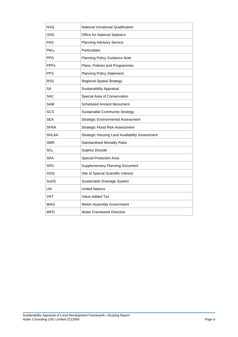| <b>NVQ</b>      | <b>National Vocational Qualification</b>       |
|-----------------|------------------------------------------------|
| ONS             | <b>Office for National Statistics</b>          |
| <b>PAS</b>      | <b>Planning Advisory Service</b>               |
| $PM_{10}$       | Particulates                                   |
| <b>PPG</b>      | <b>Planning Policy Guidance Note</b>           |
| <b>PPPs</b>     | Plans, Policies and Programmes                 |
| <b>PPS</b>      | <b>Planning Policy Statement</b>               |
| <b>RSS</b>      | <b>Regional Spatial Strategy</b>               |
| SА              | Sustainability Appraisal                       |
| <b>SAC</b>      | Special Area of Conservation                   |
| <b>SAM</b>      | <b>Scheduled Ancient Monument</b>              |
| SCS             | <b>Sustainable Community Strategy</b>          |
| <b>SEA</b>      | <b>Strategic Environmental Assessment</b>      |
| SFRA            | <b>Strategic Flood Risk Assessment</b>         |
| <b>SHLAA</b>    | Strategic Housing Land Availability Assessment |
| <b>SMR</b>      | <b>Standardised Mortality Ratio</b>            |
| SO <sub>2</sub> | Sulphur Dioxide                                |
| SPA             | Special Protection Area                        |
| <b>SPD</b>      | <b>Supplementary Planning Document</b>         |
| SSSI            | Site of Special Scientific Interest            |
| <b>SuDS</b>     | Sustainable Drainage System                    |
| <b>UN</b>       | <b>United Nations</b>                          |
| <b>VAT</b>      | Value Added Tax                                |
| WAG             | <b>Welsh Assembly Government</b>               |
| <b>WFD</b>      | Water Framework Directive                      |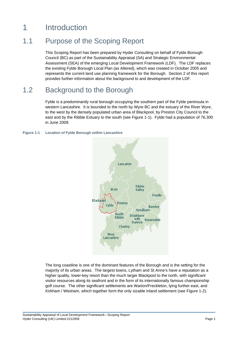# 1 Introduction

## 1.1 Purpose of the Scoping Report

This Scoping Report has been prepared by Hyder Consulting on behalf of Fylde Borough Council (BC) as part of the Sustainability Appraisal (SA) and Strategic Environmental Assessment (SEA) of the emerging Local Development Framework (LDF). The LDF replaces the existing Fylde Borough Local Plan (as Altered), which was created in October 2005 and represents the current land use planning framework for the Borough. Section 2 of this report provides further information about the background to and development of the LDF.

## 1.2 Background to the Borough

Fylde is a predominantly rural borough occupying the southern part of the Fylde peninsula in western Lancashire. It is bounded to the north by Wyre BC and the estuary of the River Wyre, to the west by the densely populated urban area of Blackpool, by Preston City Council to the east and by the Ribble Estuary to the south (see Figure 1-1). Fylde had a population of 76,300 in June 2009.

## **Figure 1-1 Location of Fylde Borough within Lancashire**



The long coastline is one of the dominant features of the Borough and is the setting for the majority of its urban areas. The largest towns, Lytham and St Anne's have a reputation as a higher quality, lower-key resort than the much larger Blackpool to the north, with significant visitor resources along its seafront and in the form of its internationally famous championship golf course. The other significant settlements are Warton/Freckleton, lying further east, and Kirkham / Wesham, which together form the only sizable inland settlement (see Figure 1-2).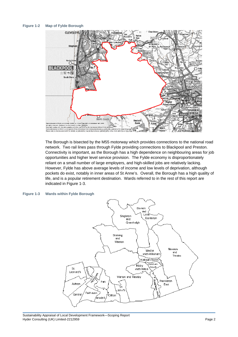## **Figure 1-2 Map of Fylde Borough**



The Borough is bisected by the M55 motorway which provides connections to th e national road network. Two rail lines pass through Fylde providing connections to B lackpool and Preston. Connectivity is important, as the Borough has a high dependence on neighbouring areas for job opportunities and higher level service provision. The Fylde economy is disproportionately reliant on a small number of large employers, and high-skilled jobs are relatively lacking. However, Fylde has above average levels of income and low levels of deprivation, although pockets do exist, notably in inner areas of St Anne's. Overall, the Borough has a high quality of life, and is a popular retirement destination. Wards referred to in the rest of this report are indicated in Figure 1-3.

## **Figure 1-3 Wards within Fylde Borough**



Sustainability Appraisal of Local Development Framework—Scoping Report Hyder Consulting (UK) Limited-2212959 Page 2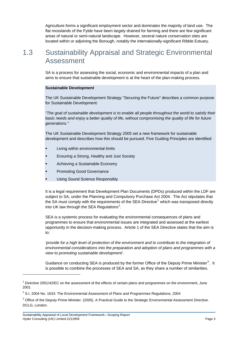Agriculture forms a significant employment sector and dominates the majority of land use. The flat mosslands of the Fylde have been largely drained for farming and there are few significant areas of natural or semi-natural landscape. However, several nature conservation sites are located within or adjoining the Borough, notably the internationally-significant Ribble Estuary.

# 1.3 Sustainability Appraisal and Strategic Environmental Assessment

SA is a process for assessing the social, economic and environmental impacts of a plan and aims to ensure that sustainable development is at the heart of the plan-making process.

## **Sustainable Development**

The UK Sustainable Development Strategy "Securing the Future" describes a common purpose for Sustainable Development:

*"The goal of sustainable development is to enable all people throughout the world to satisfy their basic needs and enjoy a better quality of life, without compromising the quality of life for future generations."* 

The UK Sustainable Development Strategy 2005 set a new framework for sustainable development and describes how this should be pursued. Five Guiding Principles are identified:

- Living within environmental limits
- Ensuring a Strong, Healthy and Just Society
- Achieving a Sustainable Economy
- Promoting Good Governance
- Using Sound Science Responsibly

It is a legal requirement that Development Plan Documents (DPDs) produced within the LDF are subject to SA, under the Planning and Compulsory Purchase Act 2004. The Act stipulates that the SA must comply with the requirements of the SEA Directive<sup>1</sup> which was transposed directly into UK law through the SEA Regulations<sup>2</sup>.

SEA is a systemic process for evaluating the environmental consequences of plans and programmes to ensure that environmental issues are integrated and assessed at the earliest opportunity in the decision-making process. Article 1 of the SEA Directive states that the aim is to:

'provide for a high level of protection of the environment and to contribute to the integration of *environmental considerations into the preparation and adoption of plans and programmes with a view to promoting sustainable development'*.

Guidance on conducting SEA is produced by the former Office of the Deputy Prime Minister<sup>3</sup>. It is possible to combine the processes of SEA and SA, as they share a number of similarities.

l

 $1$  Directive 2001/42/EC on the assessment of the effects of certain plans and programmes on the environment, June 2001

 $2$  S.I. 2004 No. 1633: The Environmental Assessment of Plans and Programmes Regulations, 2004

<span id="page-10-0"></span> $3$  Office of the Deputy Prime Minister. (2005). A Practical Guide to the Strategic Environmental Assessment Directive. DCLG, London.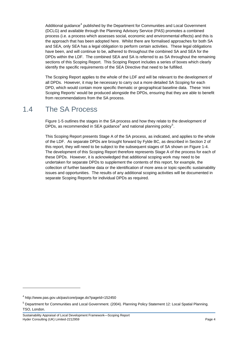<span id="page-11-0"></span>Additional guidance<sup>[4](#page-10-0)</sup> published by the Department for Communities and Local Government (DCLG) and available through the Planning Advisory Service (PAS) promotes a combined process (i.e. a process which assesses social, economic and environmental effects) and this is the approach that has been adopted here. Whilst there are formalised approaches for both SA and SEA, only SEA has a legal obligation to perform certain activities. These legal obligations have been, and will continue to be, adhered to throughout the combined SA and SEA for the DPDs within the LDF. The combined SEA and SA is referred to as SA throughout the remaining sections of this Scoping Report. This Scoping Report includes a series of boxes which clearly identify the specific requirements of the SEA Directive that need to be fulfilled.

The Scoping Report applies to the whole of the LDF and will be relevant to the development of all DPDs. However, it may be necessary to carry out a more detailed SA Scoping for each DPD, which would contain more specific thematic or geographical baseline data. These 'mini Scoping Reports' would be produced alongside the DPDs, ensuring that they are able to benefit from recommendations from the SA process.

## 1.4 The SA Process

Figure 1-5 outlines the stages in the SA process and how they relate to the development of DPDs, as recommended in SEA guidance<sup>4</sup> and national planning policy<sup>5</sup>.

This Scoping Report presents Stage A of the SA process, as indicated, and applies to the whole of the LDF. As separate DPDs are brought forward by Fylde BC, as described in Section 2 of this report, they will need to be subject to the subsequent stages of SA shown on Figure 1-4. The development of this Scoping Report therefore represents Stage A of the process for each of these DPDs. However, it is acknowledged that additional scoping work may need to be undertaken for separate DPDs to supplement the contents of this report, for example, the collection of further baseline data or the identification of more area or topic-specific sustainability issues and opportunities. The results of any additional scoping activities will be documented in separate Scoping Reports for individual DPDs as required.

l

<sup>4</sup> http://www.pas.gov.uk/pas/core/page.do?pageId=152450

<sup>&</sup>lt;sup>5</sup> Department for Communities and Local Government. (2004). Planning Policy Statement 12: Local Spatial Planning. TSO, London.

Sustainability Appraisal of Local Development Framework—Scoping Report Hyder Consulting (UK) Limited-2212959 Page 4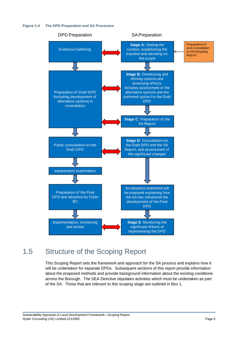



# 1.5 Structure of the Scoping Report

This Scoping Report sets the framework and approach for the SA process and explains how it will be undertaken for separate DPDs. Subsequent sections of this report provide information about the proposed methods and provide background information about the existing conditions across the Borough. The SEA Directive stipulates activities which must be undertaken as part of the SA. Those that are relevant to this scoping stage are outlined in Box 1.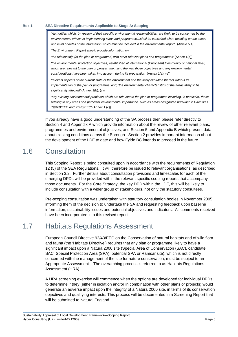#### **Box 1 SEA Directive Requirements Applicable to Stage A: Scoping**

'*Authorities which, by reason of their specific environmental responsibilities, are likely to be concerned by the*  environmental effects of implementing plans and programme...shall be consulted when deciding on the scope and level of detail of the information which must be included in the environmental report.' (Article 5.4).

*The Environment Report should provide information on:* 

*'the relationship (of the plan or programme) with other relevant plans and programmes' (Annex 1(a))* 

*'the environmental protection objectives, established at international (European) Community or national level,* which are relevant to the plan or programme...and the way those objectives and any environmental *considerations have been taken into account during its preparation'* (Annex 1(a), (e))

*frelevant aspects of the current state of the environment and the likely evolution thereof without its* implementation of the plan or programme' and, 'the environmental characteristics of the areas likely to be *significantly affected'* (Annex 1(b), (c))

*e including, in particular, those*  '*any existing environmental problems which are relevant to the plan or programm d pursuant to Directives relating to any areas of a particular environmental importance, such as areas designate 79/409/EEC and 92/43/EEC'* (Annex 1 (c))

If you already have a good understanding of the SA process then please refer directly to Section 4 and Appendix A which provide information about the review of other relevant plans, programmes and environmental objectives, and Section 5 and Appendix B which present data about existing conditions across the Borough. Section 2 provides important information about the development of the LDF to date and how Fylde BC intends to proceed in the future.

### 1.6 **Consultation**

This Scoping Report is being consulted upon in accordance with the requirements of Regulation 12 (5) of the SEA Regulations. It will therefore be issued to relevant organisations, as described in Section 3.2. Further details about consultation provisions and timescales for each of the emerging DPDs will be provided within the relevant specific scoping reports that accompany those documents. For the Core Strategy, the key DPD within the LDF, this will be likely to include consultation with a wider group of stakeholders, not only the statutory consultees.

Pre-scoping consultation was undertaken with statutory consultation bodies in November 2005 informing them of the decision to undertake the SA and requesting feedback upon baseline information, sustainability issues and potential objectives and indicators. All comments received have been incorporated into this revised report.

## 1.7 Habitats Regulations Assessment

European Council Directive 92/43/EEC on the Conservation of natural habitats and of wild flora significant impact upon a Natura 2000 site (Special Area of Conservation (SAC), candidate SAC, Special Protection Area (SPA), potential SPA or Ramsar site), which is not directly concerned with the management of the site for nature conservation, must be subject to an Appropriate Assessment. The overarching process is referred to as Habitats Regulations Assessment (HRA). and fauna (the 'Habitats Directive') requires that any plan or programme likely to have a

A HRA screening exercise will commence when the options are developed for individual DPDs to determine if they (either in isolation and/or in combination with other plans or projects) would generate an adverse impact upon the integrity of a Natura 2000 site, in terms of its conservation objectives and qualifying interests. This process will be documented in a Screening Report that will be submitted to Natural England.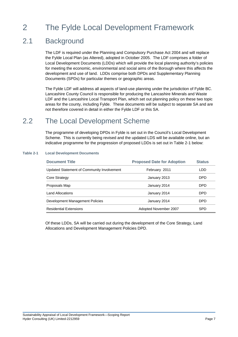# 2 The Fylde Local Development Framework

## 2.1 **Background**

The LDF is required under the Planning and Compulsory Purchase Act 2004 and will replace the Fylde Local Plan (as Altered), adopted in October 2005. The LDF comprises a folder of Local Development Documents (LDDs) which will provide the local planning authority's policies for meeting the economic, environmental and social aims of the Borough where this affects the development and use of land. LDDs comprise both DPDs and Supplementary Planning Documents (SPDs) for particular themes or geographic areas.

The Fylde LDF will address all aspects of land-use planning under the jurisdiction of Fylde BC. Lancashire County Council is responsible for producing the Lancashire Minerals and Waste LDF and the Lancashire Local Transport Plan, which set out planning policy on these two topic areas for the county, including Fylde. These documents will be subject to separate SA and are not therefore covered in detail in either the Fylde LDF or this SA.

# 2.2 The Local Development Scheme

The programme of developing DPDs in Fylde is set out in the Council's Local Development Scheme. This is currently being revised and the updated LDS will be available online, but an indicative programme for the progression of proposed LDDs is set out in Table 2-1 below:

## **Table 2-1 Local Development Documents**

| <b>Document Title</b>                      | <b>Proposed Date for Adoption</b> | <b>Status</b> |
|--------------------------------------------|-----------------------------------|---------------|
| Updated Statement of Community Involvement | February 2011                     | LDD           |
| <b>Core Strategy</b>                       | January 2013                      | DPD.          |
| Proposals Map                              | January 2014                      | <b>DPD</b>    |
| <b>Land Allocations</b>                    | January 2014                      | DPD.          |
| Development Management Policies            | January 2014                      | DPD           |
| <b>Residential Extensions</b>              | Adopted November 2007             | <b>SPD</b>    |

Of these LDDs, SA will be carried out during the development of the Core Strategy, Land Allocations and Development Management Policies DPD.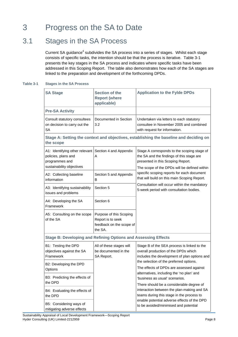# 3 Progress on the SA to Date

## 3.1 Stages in the SA Process

Current SA guidance<sup>4</sup> subdivides the SA process into a series of stages. Whilst each stage consists of specific tasks, the intention should be that the process is iterative. Table 3-1 presents the key stages in the SA process and indicates where specific tasks have been addressed in this Scoping Report. The table also demonstrates how each of the SA stages are linked to the preparation and development of the forthcoming DPDs.

## **Table 3-1 Stages in the SA P rocess**

| <b>SA Stage</b>                                                                                      | <b>Section of the</b>                                                               | <b>Application to the Fylde DPDs</b>                                                                                                                                          |
|------------------------------------------------------------------------------------------------------|-------------------------------------------------------------------------------------|-------------------------------------------------------------------------------------------------------------------------------------------------------------------------------|
|                                                                                                      | <b>Report (where</b><br>applicable)                                                 |                                                                                                                                                                               |
| <b>Pre-SA Activity</b>                                                                               |                                                                                     |                                                                                                                                                                               |
| Consult statutory consultees<br>on decision to carry out the<br>SA                                   | Documented in Section<br>3.2                                                        | Undertaken via letters to each statutory<br>consultee in November 2005 and combined<br>with request for information.                                                          |
| the scope                                                                                            |                                                                                     | Stage A: Setting the context and objectives, establishing the baseline and deciding on                                                                                        |
| A1: Identifying other relevant<br>policies, plans and<br>programmes and<br>sustainability objectives | Section 4 and Appendix<br>A                                                         | Stage A corresponds to the scoping stage of<br>the SA and the findings of this stage are<br>presented in this Scoping Report.<br>The scope of the DPDs will be defined within |
| A2: Collecting baseline<br>information                                                               | Section 5 and Appendix<br>в                                                         | specific scoping reports for each document<br>that will build on this main Scoping Report.                                                                                    |
| A3: Identifying sustainability<br>issues and problems                                                | Section 5                                                                           | Consultation will occur within the mandatory<br>5-week period with consultation bodies.                                                                                       |
| A4: Developing the SA<br>Framework                                                                   | Section 6                                                                           |                                                                                                                                                                               |
| A5: Consulting on the scope<br>of the SA                                                             | Purpose of this Scoping<br>Report is to seek<br>feedback on the scope of<br>the SA. |                                                                                                                                                                               |
| <b>Stage B: Developing and Refining Options and Assessing Effects</b>                                |                                                                                     |                                                                                                                                                                               |
| B1: Testing the DPD<br>objectives against the SA<br>Framework                                        | All of these stages will<br>be documented in the<br>SA Report.                      | Stage B of the SEA process is linked to the<br>overall production of the DPDs which<br>includes the development of plan options and                                           |
| B2: Developing the DPD<br>Options                                                                    |                                                                                     | the selection of the preferred options.<br>The effects of DPDs are assessed against                                                                                           |
| B3: Predicting the effects of<br>the DPD                                                             |                                                                                     | alternatives, including the 'no plan' and<br>'business as usual' scenarios.<br>There should be a considerable degree of                                                       |
| B4: Evaluating the effects of<br>the DPD                                                             |                                                                                     | interaction between the plan-making and SA<br>teams during this stage in the process to                                                                                       |
| B5: Considering ways of<br>mitigating adverse effects                                                |                                                                                     | enable potential adverse effects of the DPD<br>to be avoided/minimised and potential                                                                                          |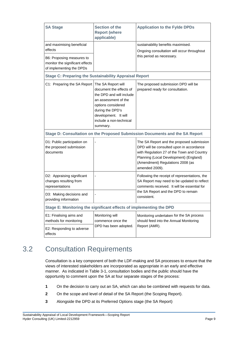| <b>SA Stage</b>                                                                          | Section of the<br><b>Report (where</b><br>applicable)                                                                                                                                                      | <b>Application to the Fylde DPDs</b>                                                                                                                                                                                                |  |
|------------------------------------------------------------------------------------------|------------------------------------------------------------------------------------------------------------------------------------------------------------------------------------------------------------|-------------------------------------------------------------------------------------------------------------------------------------------------------------------------------------------------------------------------------------|--|
| and maximising beneficial                                                                |                                                                                                                                                                                                            | sustainability benefits maximised.                                                                                                                                                                                                  |  |
| effects                                                                                  |                                                                                                                                                                                                            | Ongoing consultation will occur throughout                                                                                                                                                                                          |  |
| B6: Proposing measures to<br>monitor the significant effects<br>of implementing the DPDs |                                                                                                                                                                                                            | this period as necessary.                                                                                                                                                                                                           |  |
| <b>Stage C: Preparing the Sustainability Appraisal Report</b>                            |                                                                                                                                                                                                            |                                                                                                                                                                                                                                     |  |
| C1: Preparing the SA Report                                                              | The SA Report will<br>document the effects of<br>the DPD and will include<br>an assessment of the<br>options considered<br>during the DPD's<br>development. It will<br>include a non-technical<br>summary. | The proposed submission DPD will be<br>prepared ready for consultation.                                                                                                                                                             |  |
|                                                                                          |                                                                                                                                                                                                            | Stage D: Consultation on the Proposed Submission Documents and the SA Report                                                                                                                                                        |  |
| D1: Public participation on<br>the proposed submission<br>documents                      |                                                                                                                                                                                                            | The SA Report and the proposed submission<br>DPD will be consulted upon in accordance<br>with Regulation 27 of the Town and Country<br>Planning (Local Development) (England)<br>(Amendment) Regulations 2008 (as<br>amended 2009). |  |
| D2: Appraising significant<br>changes resulting from<br>representations                  |                                                                                                                                                                                                            | Following the receipt of representations, the<br>SA Report may need to be updated to reflect<br>comments received. It will be essential for                                                                                         |  |
| D3: Making decisions and<br>providing information                                        |                                                                                                                                                                                                            | the SA Report and the DPD to remain<br>consistent.                                                                                                                                                                                  |  |
| Stage E: Monitoring the significant effects of implementing the DPD                      |                                                                                                                                                                                                            |                                                                                                                                                                                                                                     |  |
| E1: Finalising aims and<br>methods for monitoring                                        | Monitoring will<br>commence once the                                                                                                                                                                       | Monitoring undertaken for the SA process<br>should feed into the Annual Monitoring                                                                                                                                                  |  |
| E2: Responding to adverse<br>effects                                                     | DPD has been adopted.                                                                                                                                                                                      | Report (AMR).                                                                                                                                                                                                                       |  |

# 3.2 Consultation Requirements

Consultation is a key component of both the LDF-making and SA processes to ensure that the views of interested stakeholders are incorporated as appropriate in an early and effective manner. As indicated in Table 3-1, consultation bodies and the public should have the opportunity to comment upon the SA at four separate stages of the process:

- **1** On the decision to carry out an SA, which can also be combined with requests for data.
- **2** On the scope and level of detail of the SA Report (the Scoping Report).
- **3** Alongside the DPD at its Preferred Options stage (the SA Report)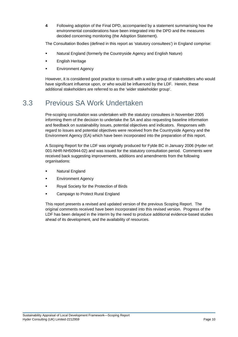**4** Following adoption of the Final DPD, accompanied by a statement summarising how the environmental considerations have been integrated into the DPD and the measures decided concerning monitoring (the Adoption Statement).

The Consultation Bodies (defined in this report as 'statutory consultees') in England comprise:

- **Natural England (formerly the Countryside Agency and English Nature)**
- $\blacksquare$ English Heritage
- Environment Agency

However, it is considered good practice to consult with a wider group of stakeholders who would have significant influence upon, or who would be influenced by the LDF. Herein, these additional stakeholders are referred to as the 'wider stakeholder group'.

## 3.3 Previous SA Work Undertaken

Pre-scoping consultation was undertaken with the statutory consultees in November 2005 informing them of the decision to undertake the SA and also requesting baseline information and feedback on sustainability issues, potential objectives and indicators. Responses with regard to issues and potential objectives were received from the Countryside Agency and the Environment Agency (EA) which have been incorporated into the preparation of this report.

A Scoping Report for the LDF was originally produced for Fylde BC in January 2006 (Hyder ref: 001-NHR-NH50944-02) and was issued for the statutory consultation period. Comments were received back suggesting improvements, additions and amendments from the following organisations:

- Natural England
- Environment Agency
- Royal Society for the Protection of Birds
- Campaign to Protect Rural England

This report presents a revised and updated version of the previous Scoping Report. The original comments received have been incorporated into this revised version. Progress of the LDF has been delayed in the interim by the need to produce additional evidence-based studies ahead of its development, and the availability of resources.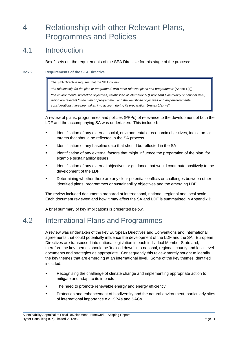# 4 Relationship with other Relevant Plans, Programmes and Policies

### 4.1 Introduction

Box 2 sets out the requirements of the SEA Directive for this stage of the process:

#### **Box 2 Requirements of the SEA Directive**

The SEA Directive requires that the SEA covers:

*'the relationship (of the plan or programme) with other relevant plans and programmes'* (Annex 1(a))

*the environmental protection objectives, established at international (European) Community or national level,* which are relevant to the plan or programme...and the way those objectives and any environmental *considerations have been taken into account during its preparation'* (Annex 1(a), (e))

A review of plans, programmes and policies (PPPs) of relevance to the development of both the LDF and the accompanying SA was undertaken. This included:

- **EXECT** Identification of any external social, environmental or economic objectives, indicators or targets that should be reflected in the SA process
- Identification of any baseline data that should be reflected in the SA
- **Example 1** Identification of any external factors that might influence the preparation of the plan, for example sustainability issues
- Identification of any external objectives or guidance that would contribute positively to the development of the LDF
- **EXECTE CONFIDENT** Determining whether there are any clear potential conflicts or challenges between other identified plans, programmes or sustainability objectives and the emerging LDF

The review included documents prepared at international, national, regional and local scale. Each document reviewed and how it may affect the SA and LDF is summarised in Appendix B.

A brief summary of key implications is presented below.

## 4.2 International Plans and Programmes

A review was undertaken of the key European Directives and Conventions and International agreements that could potentially influence the development of the LDF and the SA. European Directives are transposed into national legislation in each individual Member State and, therefore the key themes should be 'trickled down' into national, regional, county and local level documents and strategies as appropriate. Consequently this review merely sought to identify the key themes that are emerging at an international level. Some of the key themes identified included:

- Recognising the challenge of climate change and implementing appropriate action to mitigate and adapt to its impacts
- The need to promote renewable energy and energy efficiency
- Protection and enhancement of biodiversity and the natural environment, particularly sites of international importance e.g. SPAs and SACs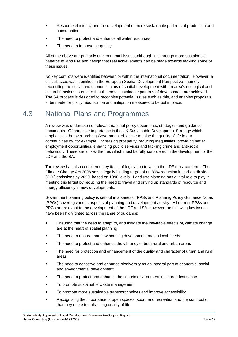- **Besource efficiency and the development of more sustainable patterns of production and** consumption
- **The need to protect and enhance all water resources**
- The need to improve air quality

All of the above are primarily environmental issues, although it is through more sustainable patterns of land use and design that real achievements can be made towards tackling some of these issues.

No key conflicts were identified between or within the international documentation. However, a difficult issue was identified in the European Spatial Development Perspective - namely reconciling the social and economic aims of spatial development with an area's ecological and cultural functions to ensure that the most sustainable patterns of development are achieved. The SA process is designed to recognise potential issues such as this, and enables proposals to be made for policy modification and mitigation measures to be put in place.

### 4.3 National Plans and Programmes

A review was undertaken of relevant national policy documents, strategies and guidance documents. Of particular importance is the UK Sustainable Development Strategy which emphasises the over-arching Government objective to raise the quality of life in our communities by, for example, increasing prosperity, reducing inequalities, providing better employment opportunities, enhancing public services and tackling crime and anti-social behaviour. These are all key themes which must be fully considered in the development of the LDF and the SA.

The review has also considered key items of legislation to which the LDF must conform. The Climate Change Act 2008 sets a legally binding target of an 80% reduction in carbon dioxide (CO2) emissions by 2050, based on 1990 levels. Land use planning has a vital role to play in meeting this target by reducing the need to travel and driving up standards of resource and energy efficiency in new developments.

Government planning policy is set out in a series of PPSs and Planning Policy Guidance Notes (PPGs) covering various aspects of planning and development activity. All current PPSs and PPGs are relevant to the development of the LDF and SA, however the following key issues have been highlighted across the range of guidance:

- **E** Ensuring that the need to adapt to, and mitigate the inevitable effects of, climate change are at the heart of spatial planning
- The need to ensure that new housing development meets local needs
- **The need to protect and enhance the vibrancy of both rural and urban areas**
- The need for protection and enhancement of the quality and character of urban and rural areas
- The need to conserve and enhance biodiversity as an integral part of economic, social and environmental development
- The need to protect and enhance the historic environment in its broadest sense
- To promote sustainable waste management
- To promote more sustainable transport choices and improve accessibility
- Recognising the importance of open spaces, sport, and recreation and the contribution that they make to enhancing quality of life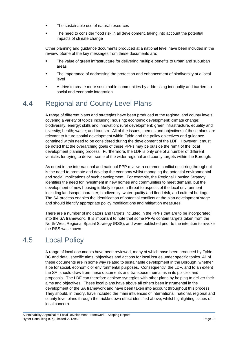- The sustainable use of natural resources
- The need to consider flood risk in all development, taking into account the potential impacts of climate change

Other planning and guidance documents produced at a national level have been included in the review. Some of the key messages from these documents are:

- **The value of green infrastructure for delivering multiple benefits to urban and suburban** areas
- The importance of addressing the protection and enhancement of biodiversity at a local level
- **•** A drive to create more sustainable communities by addressing inequality and barriers to social and economic integration

## 4.4 Regional and County Level Plans

A range of different plans and strategies have been produced at the regional and county levels covering a variety of topics including: housing; economic development; climate change; biodiversity, energy; skills and innovation; rural development; green infrastructure, equality and diversity; health; waste; and tourism. All of the issues, themes and objectives of these plans are relevant to future spatial development within Fylde and the policy objectives and guidance contained within need to be considered during the development of the LDF. However, it must be noted that the overarching goals of these PPPs may be outside the remit of the local development planning process. Furthermore, the LDF is only one of a number of different vehicles for trying to deliver some of the wider regional and county targets within the Borough.

As noted in the international and national PPP review, a common conflict occurring throughout is the need to promote and develop the economy whilst managing the potential environmental and social implications of such development. For example, the Regional Housing Strategy identifies the need for investment in new homes and communities to meet demand, but the development of new housing is likely to pose a threat to aspects of the local environment including landscape character, biodiversity, water quality and flood risk, and cultural heritage. The SA process enables the identification of potential conflicts at the plan development stage and should identify appropriate policy modifications and mitigation measures.

There are a number of indicators and targets included in the PPPs that are to be incorporated into the SA framework. It is important to note that some PPPs contain targets taken from the North-West Regional Spatial Strategy (RSS), and were published prior to the intention to revoke the RSS was known.

## 4.5 Local Policy

A range of local documents have been reviewed, many of which have been produced by Fylde BC and detail specific aims, objectives and actions for local issues under specific topics. All of these documents are in some way related to sustainable development in the Borough, whether it be for social, economic or environmental purposes. Consequently, the LDF, and to an extent the SA, should draw from these documents and transpose their aims in its policies and proposals. The LDF can therefore achieve synergies with other plans by helping to deliver their aims and objectives. These local plans have above all others been instrumental in the development of the SA framework and have been taken into account throughout this process. They should, in theory, have included the main influences of international, national, regional and county level plans through the trickle-down effect identified above, whilst highlighting issues of local concern.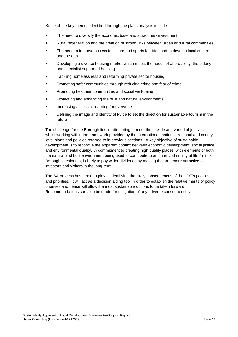Some of the key themes identified through the plans analysis include:

- The need to diversify the economic base and attract new investment
- **Brual regeneration and the creation of strong links between urban and rural communities**
- The need to improve access to leisure and sports facilities and to develop local culture and the arts
- **Developing a diverse housing market which meets the needs of affordability, the elderly** and specialist supported housing
- **Tackling homelessness and reforming private sector housing**
- **Promoting safer communities through reducing crime and fear of crime**
- **•** Promoting healthier communities and social well-being
- Protecting and enhancing the built and natural environments .
- Increasing access to learning for everyone
- **•** Defining the image and identity of Fylde to set the direction for sustainable tourism in the future

The challenge for the Borough lies in attempting to meet these wide and varied objectives, whilst working within the framework provided by the international, national, regional and county level plans and policies referred to in previous sections. A key objective of sustainable development is to reconcile the apparent conflict between economic development, social justice and environmental quality. A commitment to creating high quality places, with elements of both the natural and built environment being used to contribute to an improved quality of life for the Borough's residents, is likely to pay wider dividends by making the area more attractive to investors and visitors in the long-term.

The SA process has a role to play in identifying the likely consequences of the LDF's policies and priorities. It will act as a decision aiding tool in order to establish the relative merits of policy priorities and hence will allow the most sustainable options to be taken forward. Recommendations can also be made for mitigation of any adverse consequences.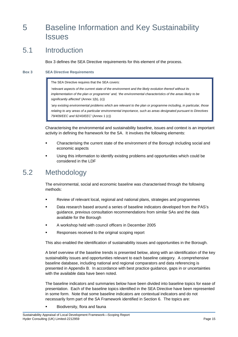# <span id="page-22-0"></span>5 Baseline Information and Key Sustainability **Issues**

### 5.1 **Introduction**

Box 3 defines the SEA Directive requirements for this element of the process.

#### **Box 3 SEA Directive Requirements**

The SEA Directive requires that the SEA covers:

*'relevant aspects of the current state of the environment and the likely evolution thereof without its implementation of the plan or programme' and, 'the environmental characteristics of the areas likely to be significantly affected'* (Annex 1(b), (c))

'any existing environmental problems which are relevant to the plan or programme including, in particular, those relating to any areas of a particular environmental importance, such as areas designated pursuant to Directives *79/409/EEC and 92/43/EEC'* (Annex 1 (c))

Characterising the environmental and sustainability baseline, issues and context is an important activity in defining the framework for the SA. It involves the following elements:

- **Characterising the current state of the environment of the Borough including social and** economic aspects
- Using this information to identify existing problems and opportunities which could be . considered in the LDF

## <span id="page-22-1"></span>5.2 Methodology

The environmental, social and economic baseline was characterised through the following methods:

- **Review of relevant local, regional and national plans, strategies and programmes**
- Data research based around a series of baseline indicators developed from the PAS's guidance, previous consultation recommendations from similar SAs and the data available for the Borough
- **A** workshop held with council officers in December 2005
- Responses received to the original scoping report

This also enabled the identification of sustainability issues and opportunities in the Borough.

A brief overview of the baseline trends is presented below, along with an identification of the key sustainability issues and opportunities relevant to each baseline category. A comprehensive baseline database, including national and regional comparators and data referencing is presented in Appendix B. In accordance with best practice guidance, gaps in or uncertainties with the available data have been noted.

The baseline indicators and summaries below have been divided into baseline topics for ease of presentation. Each of the baseline topics identified in the SEA Directive have been represented in some form. Note that some baseline indicators are contextual indicators and do not necessarily form part of the SA Framework identified in Section 6. The topics are:

Biodiversity, flora and fauna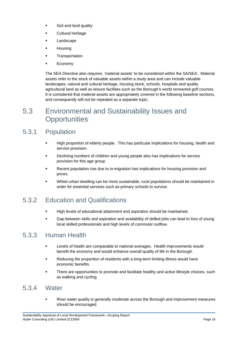- Soil and land quality
- **Example 1** Cultural heritage
- **Landscape**
- **Housing**
- **E** Transportation
- Economy

The SEA Directive also requires, 'material assets' to be considered within the SA/SEA. Material assets refer to the stock of valuable assets within a study area and can include valuable landscapes, natural and cultural heritage, housing stock, schools, hospitals and quality agricultural land as well as leisure facilities such as the Borough's world renowned golf courses. It is considered that material assets are appropriately covered in the following baseline sections, and consequently will not be repeated as a separate topic:

# <span id="page-23-0"></span>5.3 Environmental and Sustainability Issues and **Opportunities**

### 5.3 **Population**

- "High proportion of elderly people. This has particular implications for housing, health and service provision.
- Declining numbers of children and young people also has implications for service provision for this age group.
- Recent population rise due to in-migration has implications for housing provision and prices.
- Whilst urban dwelling can be more sustainable, rural populations should be maintained in order for essential services such as primary schools to survive.

## 5.3.2 Education and Qualifications

- **EXECT** High levels of educational attainment and aspiration should be maintained.
- Gap between skills and aspiration and availability of skilled jobs can lead to loss of young local skilled professionals and high levels of commuter outflow.

### **Human Health**  $5.3.3$

- **EXECT AT A Levels of health are comparable to national averages. Health improvements would** benefit the economy and would enhance overall quality of life in the Borough.
- Reducing the proportion of residents with a long-term limiting illness would have economic benefits.
- There are opportunities to promote and facilitate healthy and active lifestyle choices, such as walking and cycling.

## 5.3.4 Water

 River water quality is generally moderate across the Borough and improvement measures should be encouraged.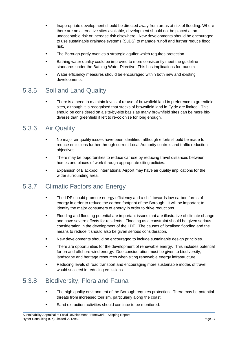- **Example 3** Inappropriate development should be directed away from areas at risk of flooding. Where there are no alternative sites available, development should not be placed at an unacceptable risk or increase risk elsewhere. New developments should be encouraged to use sustainable drainage systems (SuDS) to manage runoff and further reduce flood risk.
- **The Borough partly overlies a strategic aquifer which requires protection.**
- **EXECUTE:** Bathing water quality could be improved to more consistently meet the guideline standards under the Bathing Water Directive. This has implications for tourism.
- **EXECT** Water efficiency measures should be encouraged within both new and existing developments.

### 5.3.5 Soil and Land Quality

**There is a need to maintain levels of re-use of brownfield land in preference to greenfield** sites, although it is recognised that stocks of brownfield land in Fylde are limited. This should be considered on a site-by-site basis as many brownfield sites can be more biodiverse than greenfield if left to re-colonise for long enough.

## 5.3.6 Air Quality

- No major air quality issues have been identified, although efforts should be made to reduce emissions further through current Local Authority controls and traffic reduction objectives.
- There may be opportunities to reduce car use by reducing travel distances between homes and places of work through appropriate siting policies.
- **Expansion of Blackpool International Airport may have air quality implications for the** wider surrounding area.

### 5.3.7 Climatic Factors and Energy

- The LDF should promote energy efficiency and a shift towards low-carbon forms of energy in order to reduce the carbon footprint of the Borough. It will be important to identify the major consumers of energy in order to drive reductions.
- **Flooding and flooding potential are important issues that are illustrative of climate change** and have severe effects for residents. Flooding as a constraint should be given serious consideration in the development of the LDF. The causes of localised flooding and the means to reduce it should also be given serious consideration.
- **New developments should be encouraged to include sustainable design principles.**
- **There are opportunities for the development of renewable energy. This includes potential** for on and offshore wind energy. Due consideration must be given to biodiversity, landscape and heritage resources when siting renewable energy infrastructure.
- Reducing levels of road transport and encouraging more sustainable modes of travel would succeed in reducing emissions.

## 5.3.8 Biodiversity, Flora and Fauna

- The high quality environment of the Borough requires protection. There may be potential threats from increased tourism, particularly along the coast.
- Sand extraction activities should continue to be monitored.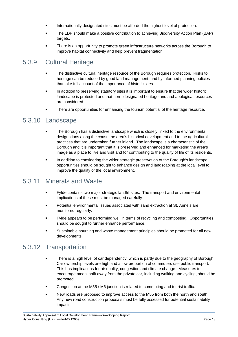- **Internationally designated sites must be afforded the highest level of protection.**
- **The LDF should make a positive contribution to achieving Biodiversity Action Plan (BAP)** targets.
- **•** There is an opportunity to promote green infrastructure networks across the Borough to improve habitat connectivity and help prevent fragmentation.

### 5.3.9 **Cultural Heritage**

- The distinctive cultural heritage resource of the Borough requires protection. Risks to heritage can be reduced by good land management, and by informed planning policies that take full account of the importance of historic sites.
- **In addition to preserving statutory sites it is important to ensure that the wider historic** landscape is protected and that non -designated heritage and archaeological resources are considered.
- **There are opportunities for enhancing the tourism potential of the heritage resource.**

## 5.3 .10 Landscape

- **The Borough has a distinctive landscape which is closely linked to the environmental** designations along the coast, the area's historical development and to the agricultural practices that are undertaken further inland. The landscape is a characteristic of the Borough and it is important that it is preserved and enhanced for marketing the area's image as a place to live and visit and for contributing to the quality of life of its residents.
- **IF-** In addition to considering the wider strategic preservation of the Borough's landscape, opportunities should be sought to enhance design and landscaping at the local level to improve the quality of the local environment.

## 5.3.11 Minerals and Waste

- Fylde contains two major strategic landfill sites. The transport and environmental implications of these must be managed carefully.
- **•** Potential environmental issues associated with sand extraction at St. Anne's are monitored regularly.
- Fylde appears to be performing well in terms of recycling and composting. Opportunities should be sought to further enhance performance.
- **Example is all able sourcing and waste management principles should be promoted for all new** developments.

## 5.3.12 Transportation

- There is a high level of car dependency, which is partly due to the geography of Borough. Car ownership levels are high and a low proportion of commuters use public transport. This has implications for air quality, congestion and climate change. Measures to encourage modal shift away from the private car, including walking and cycling, should be promoted.
- Congestion at the M55 / M6 junction is related to commuting and tourist traffic.
- New roads are proposed to improve access to the M55 from both the north and south. Any new road construction proposals must be fully assessed for potential sustainability impacts.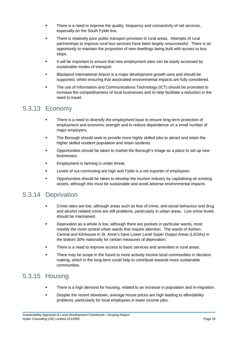- **There is a need to improve the quality, frequency and connectivity of rail services,** especially on the South Fylde line.
- **There is relatively poor public transport provision in rural areas. Attempts of rural** partnerships to improve rural bus services have been largely unsuccessful. There is an opportunity to maintain the proportion of new dwellings being built with access to bus stops.
- **If will be important to ensure that new employment sites can be easily accessed by** sustainable modes of transport.
- **Blackpool International Airport is a major development growth area and should be** supported, whilst ensuring that associated environmental impacts are fully considered.
- **The use of Information and Communications Technology (ICT) should be promoted to** increase the competitiveness of local businesses and to help facilitate a reduction in the need to travel.

## 5.3.13 Economy

- **•** There is a need to diversify the employment base to ensure long-term protection of employment and economic strength and to reduce dependence on a small number of major employers.
- The Borough should seek to provide more highly skilled jobs to attract and retain the higher skilled resident population and retain students.
- **Copportunities should be taken to market the Borough's image as a place to set up new** businesses.
- Employment in farming is under threat.
- **EXECT** Levels of out-commuting are high and Fylde is a net exporter of employees.
- **•** Opportunities should be taken to develop the tourism industry by capitalising on existing assets, although this must be sustainable and avoid adverse environmental impacts.

## 5.3 .14 Deprivation

- **Crime rates are low, although areas such as fear of crime, anti-social behaviour and drug** and alcohol related crime are still problems, particularly in urban areas. Low crime levels should be maintained.
- **•** Deprivation as a whole is low, although there are pockets in particular wards, most notably the more central urban wards that require attention. The wards of Ashton, Central and Kilnhouse in St. Anne's have Lower Level Super Output Areas (LSOAs) in the bottom 30% nationally for certain measures of deprivation.
- **There is a need to improve access to basic services and amenities in rural areas.**
- There may be scope in the future to more actively involve local communities in decision making, which in the long-term could help to contribute towards more sustainable communities.

## 5.3.15 Housing

- There is a high demand for housing, related to an increase in population and in-migration.
- **EXECT** Despite the recent slowdown, average house prices are high leading to affordability problems, particularly for local employees in lower income jobs.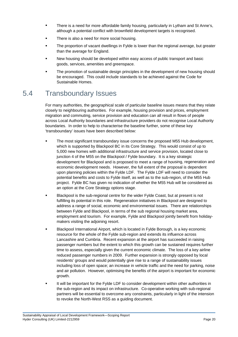- **Fig.** There is a need for more affordable family housing, particularly in Lytham and St Anne's, although a potential conflict with brownfield development targets is recognised.
- There is also a need for more social housing.
- The proportion of vacant dwellings in Fylde is lower than the regional average, but greater than the average for England.
- **New housing should be developed within easy access of public transport and basic** goods, services, amenities and greenspace.
- **The promotion of sustainable design principles in the development of new housing should** be encouraged. This could include standards to be achieved against the Code for Sustainable Homes.

## 5.4 Transboundary Issues

For many authorities, the geographical scale of particular baseline issues means that they relate closely to neighbouring authorities. For example, housing provision and prices, employment migration and commuting, service provision and education can all result in flows of people across Local Authority boundaries and infrastructure providers do not recognise Local Authority boundaries. In order to help to characterise the baseline further, some of these key 'transboundary' issues have been described below:

- The most significant transboundary issue concerns the proposed M55 Hub development, which is supported by Blackpool BC in its Core Strategy. This would consist of up to 5,000 new homes with additional infrastructure and service provision, located close to junction 4 of the M55 on the Blackpool / Fylde boundary. It is a key strategic development for Blackpool and is proposed to meet a range of housing, regeneration and economic development needs. However, the full extent of the proposal is dependent upon planning policies within the Fylde LDF. The Fylde LDF will need to consider the potential benefits and costs to Fylde itself, as well as to the sub-region, of the M55 Hub project. Fylde BC has given no indication of whether the M55 Hub will be considered as an option at the Core Strategy options stage.
- **Blackpool is the sub-regional centre for the wider Fylde Coast, but at present is not** fulfilling its potential in this role. Regeneration initiatives in Blackpool are designed to address a range of social, economic and environmental issues. There are relationships between Fylde and Blackpool, in terms of the sub regional housing market area, employment and tourism. For example, Fylde and Blackpool jointly benefit from holidaymakers visiting the adjoining resort.
- **Blackpool International Airport, which is located in Fylde Borough, is a key economic** resource for the whole of the Fylde sub-region and extends its influence across Lancashire and Cumbria. Recent expansion at the airport has succeeded in raising passenger numbers but the extent to which this growth can be sustained requires further time to assess, especially given the current economic climate. The loss of a key airline reduced passenger numbers in 2009. Further expansion is strongly opposed by local residents' groups and would potentially give rise to a range of sustainability issues including loss of open space; an increase in vehicle traffic and the need for parking, noise and air pollution. However, optimising the benefits of the airport is important for economic growth.
- It will be important for the Fylde LDF to consider development within other authorities in the sub-region and its impact on infrastructure. Co-operative working with sub-regional partners will be essential to overcome any constraints, particularly in light of the intension to revoke the North-West RSS as a guiding document.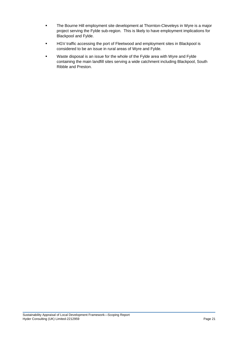- The Bourne Hill employment site development at Thornton-Cleveleys in Wyre is a major project serving the Fylde sub-region. This is likely to have employment implications for Blackpool and Fylde.
- **EXECT SITES 19 IS SET ALLOCATE IS SET A** HGV traffic accessing the port of Fleetwood and employment sites in Blackpool is considered to be an issue in rural areas of Wyre and Fylde.
- **•** Waste disposal is an issue for the whole of the Fylde area with Wyre and Fylde containing the main landfill sites serving a wide catchment including Blackpool, South Ribble and Preston.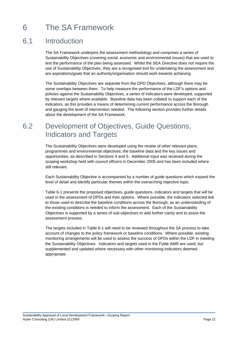# 6 The SA Framework

### 6.1 **Introduction**

The SA Framework underpins the assessment methodology and comprises a series of Sustainability Objectives (covering social, economic and environmental issues) that are used to test the performance of the plan being assessed. Whilst the SEA Directive does not require the use of Sustainability Objectives, they are a recognised tool for undertaking the assessment and are aspirations/goals that an authority/organisation should work towards achieving.

The Sustainability Objectives are separate from the DPD Objectives, although there may be some overlaps between them. To help measure the performance of the LDF's options and policies against the Sustainability Objectives, a series of indicators were developed, supported by relevant targets where available. Baseline data has been collated to support each of the indicators, as this provides a means of determining current performance across the Borough and gauging the level of intervention needed. The following section provides further details about the development of the SA Framework.

# 6.2 Development of Objectives, Guide Questions, Indicators and Targets

The Sustainability Objectives were developed using the review of other relevant plans, programmes and environmental objectives, the baseline data and the key issues and opportunities, as described in Sections 4 and 5. Additional input was received during the scoping workshop held with council officers in December 2005 and has been included where still relevant.

Each Sustainability Objective is accompanied by a number of guide questions which expand the level of detail and identify particular themes within the overarching objective topic.

Table 6-1 presents the proposed objectives, guide questions, indicators and targets that will be used in the assessment of DPDs and their options. Where possible, the indicators selected link to those used to describe the baseline conditions across the Borough, as an understanding of the existing conditions is needed to inform the assessment. Each of the Sustainability Objectives is supported by a series of sub-objectives to add further clarity and to assist the assessment process.

The targets included in Table 6-1 will need to be reviewed throughout the SA process to take account of changes to the policy framework or baseline conditions. Where possible, existing monitoring arrangements will be used to assess the success of DPDs within the LDF in meeting the Sustainability Objectives. Indicators and targets used in the Fylde AMR are used, but supplemented and updated where necessary with other monitoring indicators deemed appropriate.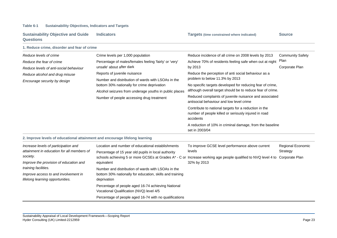## **Table 6-1 Sustainability Objectives, Indicators and Targets**

| <b>Sustainability Objective and Guide</b><br><b>Questions</b> | <b>Indicators</b>                                                                                                                                                                                        | <b>Targets (time constrained where indicated)</b>                                                  | <b>Source</b>           |  |
|---------------------------------------------------------------|----------------------------------------------------------------------------------------------------------------------------------------------------------------------------------------------------------|----------------------------------------------------------------------------------------------------|-------------------------|--|
| 1. Reduce crime, disorder and fear of crime                   |                                                                                                                                                                                                          |                                                                                                    |                         |  |
| Reduce levels of crime                                        | Crime levels per 1,000 population                                                                                                                                                                        | Reduce incidence of all crime on 2008 levels by 2013                                               | <b>Community Safety</b> |  |
| Reduce the fear of crime                                      | Percentage of males/females feeling 'fairly' or 'very'                                                                                                                                                   | Achieve 70% of residents feeling safe when out at night                                            | Plan                    |  |
| Reduce levels of anti-social behaviour                        | unsafe' about after dark                                                                                                                                                                                 | by 2013                                                                                            | Corporate Plan          |  |
| Reduce alcohol and drug misuse                                | Reports of juvenile nuisance                                                                                                                                                                             | Reduce the perception of anti social behaviour as a                                                |                         |  |
| Encourage security by design                                  | Number and distribution of wards with LSOAs in the<br>bottom 30% nationally for crime deprivation<br>Alcohol seizures from underage youths in public places<br>Number of people accessing drug treatment | problem to below 11.3% by 2013                                                                     |                         |  |
|                                                               |                                                                                                                                                                                                          | No specific targets developed for reducing fear of crime,                                          |                         |  |
|                                                               |                                                                                                                                                                                                          | although overall target should be to reduce fear of crime.                                         |                         |  |
|                                                               |                                                                                                                                                                                                          | Reduced complaints of juvenile nuisance and associated<br>antisocial behaviour and low level crime |                         |  |
|                                                               |                                                                                                                                                                                                          | Contribute to national targets for a reduction in the                                              |                         |  |
|                                                               |                                                                                                                                                                                                          | number of people killed or seriously injured in road<br>accidents                                  |                         |  |
|                                                               |                                                                                                                                                                                                          | A reduction of 10% in criminal damage, from the baseline<br>set in 2003/04                         |                         |  |

## **2. Improve levels of educational attainment and encourage lifelong learning**

| Increase levels of participation and<br>attainment in education for all members of | Location and number of educational establishments<br>Percentage of 15 year old pupils in local authority | To improve GCSE level performance above current<br>levels                                                                                   | <b>Regional Economic</b><br>Strategy |
|------------------------------------------------------------------------------------|----------------------------------------------------------------------------------------------------------|---------------------------------------------------------------------------------------------------------------------------------------------|--------------------------------------|
| society.<br>Improve the provision of education and                                 | equivalent                                                                                               | schools achieving 5 or more GCSEs at Grades A* - C or Increase working age people qualified to NVQ level 4 to Corporate Plan<br>32% by 2013 |                                      |
| training facilities.                                                               | Number and distribution of wards with LSOAs in the                                                       |                                                                                                                                             |                                      |
| Improve access to and involvement in<br>lifelong learning opportunities.           | bottom 30% nationally for education, skills and training<br>deprivation                                  |                                                                                                                                             |                                      |
|                                                                                    | Percentage of people aged 16-74 achieving National<br>Vocational Qualification (NVQ) level 4/5           |                                                                                                                                             |                                      |
|                                                                                    | Percentage of people aged 16-74 with no qualifications                                                   |                                                                                                                                             |                                      |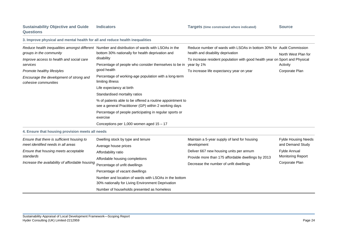| 3. Improve physical and mental health for all and reduce health inequalities                                                                                                             |                                                                                                                                                                                                                                                                                                                                                                                                                                                                                                                                                                                             |                                                                                                                                                                                                                                      |                                                                                                              |
|------------------------------------------------------------------------------------------------------------------------------------------------------------------------------------------|---------------------------------------------------------------------------------------------------------------------------------------------------------------------------------------------------------------------------------------------------------------------------------------------------------------------------------------------------------------------------------------------------------------------------------------------------------------------------------------------------------------------------------------------------------------------------------------------|--------------------------------------------------------------------------------------------------------------------------------------------------------------------------------------------------------------------------------------|--------------------------------------------------------------------------------------------------------------|
| groups in the community<br>Improve access to health and social care<br>services<br>Promote healthy lifestyles<br>Encourage the development of strong and<br>cohesive communities         | Reduce health inequalities amongst different Number and distribution of wards with LSOAs in the<br>bottom 30% nationally for health deprivation and<br>disability<br>Percentage of people who consider themselves to be in year by 1%<br>good health<br>Percentage of working-age population with a long-term<br>limiting illness<br>Life expectancy at birth<br>Standardised mortality ratios<br>% of patients able to be offered a routine appointment to<br>see a general Practitioner (GP) within 2 working days<br>Percentage of people participating in regular sports or<br>exercise | Reduce number of wards with LSOAs in bottom 30% for Audit Commission<br>health and disability deprivation<br>To increase resident population with good health year on Sport and Physical<br>To increase life expectancy year on year | North West Plan for<br>Activity<br>Corporate Plan                                                            |
|                                                                                                                                                                                          | Conceptions per 1,000 women aged $15 - 17$                                                                                                                                                                                                                                                                                                                                                                                                                                                                                                                                                  |                                                                                                                                                                                                                                      |                                                                                                              |
| 4. Ensure that housing provision meets all needs                                                                                                                                         |                                                                                                                                                                                                                                                                                                                                                                                                                                                                                                                                                                                             |                                                                                                                                                                                                                                      |                                                                                                              |
| Ensure that there is sufficient housing to<br>meet identified needs in all areas<br>Ensure that housing meets acceptable<br>standards<br>Increase the availability of affordable housing | Dwelling stock by type and tenure<br>Average house prices<br>Affordability ratio<br>Affordable housing completions<br>Percentage of unfit dwellings<br>Percentage of vacant dwellings<br>Number and location of wards with LSOAs in the bottom<br>30% nationally for Living Environment Deprivation<br>Number of households presented as homeless                                                                                                                                                                                                                                           | Maintain a 5-year supply of land for housing<br>development<br>Deliver 667 new housing units per annum<br>Provide more than 175 affordable dwellings by 2013<br>Decrease the number of unfit dwellings                               | <b>Fylde Housing Needs</b><br>and Demand Study<br>Fylde Annual<br><b>Monitoring Report</b><br>Corporate Plan |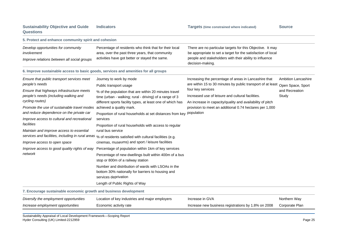## **Sustainability Objective and Guide Questions**

**Indicators Targets (time constrained where indicated) Source** 

| 5. Protect and enhance community spirit and cohesion                                                                                                                                             |                                                                                                                                                                                                                                                                                                                         |                                                                                                                                                                                       |                                |
|--------------------------------------------------------------------------------------------------------------------------------------------------------------------------------------------------|-------------------------------------------------------------------------------------------------------------------------------------------------------------------------------------------------------------------------------------------------------------------------------------------------------------------------|---------------------------------------------------------------------------------------------------------------------------------------------------------------------------------------|--------------------------------|
| Develop opportunities for community<br>involvement                                                                                                                                               | Percentage of residents who think that for their local<br>area, over the past three years, that community<br>activities have got better or stayed the same.                                                                                                                                                             | There are no particular targets for this Objective. It may<br>be appropriate to set a target for the satisfaction of local<br>people and stakeholders with their ability to influence |                                |
| Improve relations between all social groups                                                                                                                                                      |                                                                                                                                                                                                                                                                                                                         | decision-making.                                                                                                                                                                      |                                |
| 6. Improve sustainable access to basic goods, services and amenities for all groups                                                                                                              |                                                                                                                                                                                                                                                                                                                         |                                                                                                                                                                                       |                                |
| Ensure that public transport services meet                                                                                                                                                       | Journey to work by mode                                                                                                                                                                                                                                                                                                 | Increasing the percentage of areas in Lancashire that                                                                                                                                 | Ambition Lancashire            |
| people's needs                                                                                                                                                                                   | Public transport usage                                                                                                                                                                                                                                                                                                  | are within 15 to 30 minutes by public transport of at least                                                                                                                           | Open Space, Sport              |
| Ensure that highways infrastructure meets<br>people's needs (including walking and<br>cycling routes)                                                                                            | % of the population that are within 20 minutes travel<br>time (urban - walking; rural - driving) of a range of 3<br>different sports facility types, at least one of which has                                                                                                                                          | four key services<br>Increased use of leisure and cultural facilities.<br>An increase in capacity/quality and availability of pitch                                                   | and Recreation<br>Study        |
| Promote the use of sustainable travel modes<br>and reduce dependence on the private car<br>Improve access to cultural and recreational<br>facilities<br>Maintain and improve access to essential | achieved a quality mark.<br>Proportion of rural households at set distances from key<br>services<br>Proportion of rural households with access to regular                                                                                                                                                               | provision to meet an additional 0.74 hectares per 1,000<br>population                                                                                                                 |                                |
|                                                                                                                                                                                                  | rural bus service<br>services and facilities, including in rural areas % of residents satisfied with cultural facilities (e.g.                                                                                                                                                                                          |                                                                                                                                                                                       |                                |
| Improve access to open space                                                                                                                                                                     | cinemas, museums) and sport / leisure facilities                                                                                                                                                                                                                                                                        |                                                                                                                                                                                       |                                |
| Improve access to good quality rights of way<br>network                                                                                                                                          | Percentage of population within 1km of key services<br>Percentage of new dwellings built within 400m of a bus<br>stop or 800m of a railway station<br>Number and distribution of wards with LSOAs in the<br>bottom 30% nationally for barriers to housing and<br>services deprivation<br>Length of Public Rights of Way |                                                                                                                                                                                       |                                |
| 7. Encourage sustainable economic growth and business development                                                                                                                                |                                                                                                                                                                                                                                                                                                                         |                                                                                                                                                                                       |                                |
| Diversify the employment opportunities<br>Increase employment opportunities                                                                                                                      | Location of key industries and major employers<br>Economic activity rate                                                                                                                                                                                                                                                | Increase in GVA<br>Increase new business registrations by 1.8% on 2008                                                                                                                | Northern Way<br>Corporate Plan |

Hyder Consulting (UK) Limited-2212959 Page 25 Sustainability Appraisal of Local Development Framework—Scoping Report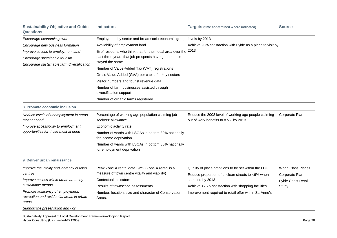| <b>Sustainability Objective and Guide</b><br><b>Questions</b>                                                    | <b>Indicators</b>                                                                                                     | <b>Targets (time constrained where indicated)</b>                                                       | <b>Source</b>                               |
|------------------------------------------------------------------------------------------------------------------|-----------------------------------------------------------------------------------------------------------------------|---------------------------------------------------------------------------------------------------------|---------------------------------------------|
| Encourage economic growth                                                                                        | Employment by sector and broad socio-economic group levels by 2013                                                    |                                                                                                         |                                             |
| Encourage new business formation                                                                                 | Availability of employment land<br>Achieve 95% satisfaction with Fylde as a place to visit by                         |                                                                                                         |                                             |
| Improve access to employment land<br>Encourage sustainable tourism<br>Encourage sustainable farm diversification | % of residents who think that for their local area over the<br>past three years that job prospects have got better or | 2013                                                                                                    |                                             |
|                                                                                                                  |                                                                                                                       |                                                                                                         |                                             |
|                                                                                                                  | stayed the same                                                                                                       |                                                                                                         |                                             |
|                                                                                                                  | Number of Value-Added Tax (VAT) registrations                                                                         |                                                                                                         |                                             |
|                                                                                                                  | Gross Value Added (GVA) per capita for key sectors                                                                    |                                                                                                         |                                             |
|                                                                                                                  | Visitor numbers and tourist revenue data                                                                              |                                                                                                         |                                             |
|                                                                                                                  | Number of farm businesses assisted through<br>diversification support                                                 |                                                                                                         |                                             |
|                                                                                                                  | Number of organic farms registered                                                                                    |                                                                                                         |                                             |
| 8. Promote economic inclusion                                                                                    |                                                                                                                       |                                                                                                         |                                             |
| Reduce levels of unemployment in areas<br>most at need                                                           | Percentage of working age population claiming job-<br>seekers' allowance                                              | Reduce the 2008 level of working age people claiming<br>out of work benefits to 8.5% by 2013            | Corporate Plan                              |
| Improve accessibility to employment<br>opportunities for those most at need                                      | Economic activity rate                                                                                                |                                                                                                         |                                             |
|                                                                                                                  | Number of wards with LSOAs in bottom 30% nationally<br>for income deprivation                                         |                                                                                                         |                                             |
|                                                                                                                  | Number of wards with LSOAs in bottom 30% nationally<br>for employment deprivation                                     |                                                                                                         |                                             |
| 9. Deliver urban renaissance                                                                                     |                                                                                                                       |                                                                                                         |                                             |
| Improve the vitality and vibrancy of town<br>centres                                                             | Peak Zone A rental data £/m2 (Zone A rental is a<br>measure of town centre vitality and viability)                    | Quality of place ambitions to be set within the LDF<br>Reduce proportion of unclean streets to <6% when | <b>World Class Places</b><br>Corporate Plan |
| Improve access within urban areas by<br>sustainable means                                                        | Contextual indicators                                                                                                 | sampled by 2013                                                                                         | Fylde Coast Retail                          |
|                                                                                                                  | Results of townscape assessments                                                                                      | Achieve >75% satisfaction with shopping facilities                                                      | Study                                       |
| Promote adjacency of employment,<br>recreation and residential areas in urban<br>areas                           | Number, location, size and character of Conservation<br>Areas.                                                        | Improvement required to retail offer within St. Anne's                                                  |                                             |
| Support the preservation and / or                                                                                |                                                                                                                       |                                                                                                         |                                             |

Hyder Consulting (UK) Limited-2212959 Page 26 Sustainability Appraisal of Local Development Framework—Scoping Report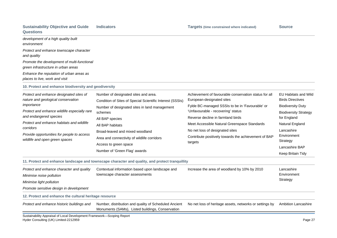## **Sustainability Objective and Guide Questions**

| development of a high quality built<br>environment                                                                                                                                                                                                                                                              |                                                                                                                                                                                                                                                                                                                                                  |                                                                                                                                                                                                                                                                                                                                                                        |                                                                                                                                                                                                                 |
|-----------------------------------------------------------------------------------------------------------------------------------------------------------------------------------------------------------------------------------------------------------------------------------------------------------------|--------------------------------------------------------------------------------------------------------------------------------------------------------------------------------------------------------------------------------------------------------------------------------------------------------------------------------------------------|------------------------------------------------------------------------------------------------------------------------------------------------------------------------------------------------------------------------------------------------------------------------------------------------------------------------------------------------------------------------|-----------------------------------------------------------------------------------------------------------------------------------------------------------------------------------------------------------------|
| Protect and enhance townscape character<br>and quality                                                                                                                                                                                                                                                          |                                                                                                                                                                                                                                                                                                                                                  |                                                                                                                                                                                                                                                                                                                                                                        |                                                                                                                                                                                                                 |
| Promote the development of multi-functional<br>green infrastructure in urban areas                                                                                                                                                                                                                              |                                                                                                                                                                                                                                                                                                                                                  |                                                                                                                                                                                                                                                                                                                                                                        |                                                                                                                                                                                                                 |
| Enhance the reputation of urban areas as<br>places to live, work and visit                                                                                                                                                                                                                                      |                                                                                                                                                                                                                                                                                                                                                  |                                                                                                                                                                                                                                                                                                                                                                        |                                                                                                                                                                                                                 |
| 10. Protect and enhance biodiversity and geodiversity                                                                                                                                                                                                                                                           |                                                                                                                                                                                                                                                                                                                                                  |                                                                                                                                                                                                                                                                                                                                                                        |                                                                                                                                                                                                                 |
| Protect and enhance designated sites of<br>nature and geological conservation<br>importance<br>Protect and enhance wildlife especially rare<br>and endangered species<br>Protect and enhance habitats and wildlife<br>corridors<br>Provide opportunities for people to access<br>wildlife and open green spaces | Number of designated sites and area.<br>Condition of Sites of Special Scientific Interest (SSSIs)<br>Number of designated sites in land management<br>schemes<br>All BAP species<br>All BAP habitats<br>Broad-leaved and mixed woodland<br>Area and connectivity of wildlife corridors<br>Access to green space<br>Number of 'Green Flag' awards | Achievement of favourable conservation status for all<br>European-designated sites<br>Fylde BC-managed SSSIs to be in 'Favourable' or<br>'Unfavourable - recovering' status<br>Reverse decline in farmland birds<br>Meet Accessible Natural Greenspace Standards<br>No net loss of designated sites<br>Contribute positively towards the achievement of BAP<br>targets | <b>EU Habitats and Wild</b><br><b>Birds Directives</b><br><b>Biodiversity Duty</b><br><b>Biodiversity Strategy</b><br>for England<br>Natural England<br>Lancashire<br>Environment<br>Strategy<br>Lancashire BAP |
|                                                                                                                                                                                                                                                                                                                 |                                                                                                                                                                                                                                                                                                                                                  |                                                                                                                                                                                                                                                                                                                                                                        | Keep Britain Tidy                                                                                                                                                                                               |

**11. Protect and enhance landscape and townscape character and quality, and protect tranquillity**

| Protect and enhance character and quality<br>Minimise noise pollution | Contextual information based upon landscape and<br>townscape character assessments | Increase the area of woodland by 10% by 2010 | Lancashire<br>Environment |
|-----------------------------------------------------------------------|------------------------------------------------------------------------------------|----------------------------------------------|---------------------------|
| Minimise light pollution                                              |                                                                                    |                                              | Strategy                  |
| Promote sensitive design in development                               |                                                                                    |                                              |                           |
|                                                                       |                                                                                    |                                              |                           |

**12. Protect and enhance the cultural heritage resource**

|                                                  | Protect and enhance historic buildings and Number, distribution and quality of Scheduled Ancient No net loss of heritage assets, networks or settings by Ambition Lancashire |  |
|--------------------------------------------------|------------------------------------------------------------------------------------------------------------------------------------------------------------------------------|--|
| Monuments (SAMs), Listed buildings, Conservation |                                                                                                                                                                              |  |

Hyder Consulting (UK) Limited-2212959 Page 27 Sustainability Appraisal of Local Development Framework—Scoping Report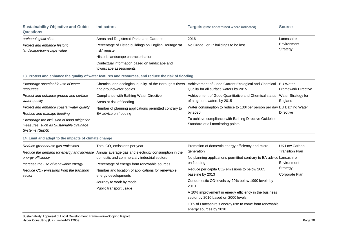| <b>Sustainability Objective and Guide</b><br><b>Questions</b>                                           | <b>Indicators</b>                                                                                                                               | <b>Targets (time constrained where indicated)</b>                                                                                                              | <b>Source</b>                                  |
|---------------------------------------------------------------------------------------------------------|-------------------------------------------------------------------------------------------------------------------------------------------------|----------------------------------------------------------------------------------------------------------------------------------------------------------------|------------------------------------------------|
| archaeological sites                                                                                    | Areas and Registered Parks and Gardens                                                                                                          | 2016                                                                                                                                                           | Lancashire                                     |
| Protect and enhance historic<br>landscape/townscape value                                               | Percentage of Listed buildings on English Heritage 'at<br>risk' register                                                                        | No Grade I or II* buildings to be lost                                                                                                                         | Environment<br>Strategy                        |
|                                                                                                         | Historic landscape characterisation                                                                                                             |                                                                                                                                                                |                                                |
|                                                                                                         | Contextual information based on landscape and<br>townscape assessments                                                                          |                                                                                                                                                                |                                                |
|                                                                                                         | 13. Protect and enhance the quality of water features and resources, and reduce the risk of flooding                                            |                                                                                                                                                                |                                                |
| Encourage sustainable use of water<br>resources                                                         | and groundwater bodies                                                                                                                          | Chemical and ecological quality of the Borough's rivers Achievement of Good Current Ecological and Chemical EU Water<br>Quality for all surface waters by 2015 | <b>Framework Directive</b>                     |
| Protect and enhance ground and surface<br>water quality                                                 | Compliance with Bathing Water Directive<br>Areas at risk of flooding                                                                            | Achievement of Good Quantitative and Chemical status  Water Strategy for<br>of all groundwaters by 2015                                                        | England                                        |
| Protect and enhance coastal water quality<br>Reduce and manage flooding                                 | Number of planning applications permitted contrary to<br>EA advice on flooding                                                                  | Water consumption to reduce to 130l per person per day EU Bathing Water<br>by 2030                                                                             | <b>Directive</b>                               |
| Encourage the inclusion of flood mitigation<br>measures, such as Sustainable Drainage<br>Systems (SuDS) |                                                                                                                                                 | To achieve compliance with Bathing Directive Guideline<br>Standard at all monitoring points                                                                    |                                                |
| 14. Limit and adapt to the impacts of climate change                                                    |                                                                                                                                                 |                                                                                                                                                                |                                                |
| Reduce greenhouse gas emissions                                                                         | Total $CO2$ emissions per year                                                                                                                  | Promotion of domestic energy efficiency and micro-<br>generation                                                                                               | <b>UK Low Carbon</b><br><b>Transition Plan</b> |
| energy efficiency                                                                                       | Reduce the demand for energy and increase Annual average gas and electricity consumption in the<br>domestic and commercial / industrial sectors | No planning applications permitted contrary to EA advice Lancashire<br>on flooding                                                                             | Environment                                    |
| Increase the use of renewable energy<br>Reduce $CO2$ emissions from the transport<br>sector             | Percentage of energy from renewable sources<br>Number and location of applications for renewable<br>energy developments                         | Reduce per capita CO <sub>2</sub> emissions to below 2005<br>baseline by 2013                                                                                  | Strategy<br>Corporate Plan                     |
|                                                                                                         | Journey to work by mode<br>Public transport usage                                                                                               | Cut domestic CO <sub>2</sub> levels by 20% below 1990 levels by<br>2010                                                                                        |                                                |
|                                                                                                         |                                                                                                                                                 | A 10% improvement in energy efficiency in the business<br>sector by 2010 based on 2000 levels                                                                  |                                                |
|                                                                                                         |                                                                                                                                                 | 10% of Lancashire's energy use to come from renewable<br>energy sources by 2010                                                                                |                                                |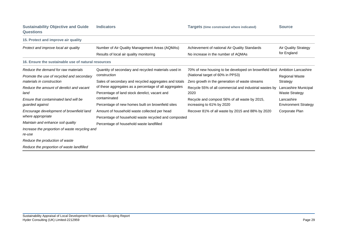|                  | <b>Sustainability Objective and Guide</b> | <b>Indicators</b> |
|------------------|-------------------------------------------|-------------------|
| <b>Questions</b> |                                           |                   |

| 15. Protect and improve air quality                           |                                                       |                                                                           |                             |
|---------------------------------------------------------------|-------------------------------------------------------|---------------------------------------------------------------------------|-----------------------------|
| Protect and improve local air quality                         | Number of Air Quality Management Areas (AQMAs)        | Achievement of national Air Quality Standards                             | <b>Air Quality Strategy</b> |
|                                                               | Results of local air quality monitoring               | No increase in the number of AQMAs                                        | for England                 |
| 16. Ensure the sustainable use of natural resources           |                                                       |                                                                           |                             |
| Reduce the demand for raw materials                           | Quantity of secondary and recycled materials used in  | 70% of new housing to be developed on brownfield land Ambition Lancashire |                             |
| Promote the use of recycled and secondary                     | construction                                          | (National target of 60% in PPS3)                                          | <b>Regional Waste</b>       |
| materials in construction                                     | Sales of secondary and recycled aggregates and totals | Zero growth in the generation of waste streams                            | Strategy                    |
| Reduce the amount of derelict and vacant                      | of these aggregates as a percentage of all aggregates | Recycle 55% of all commercial and industrial wastes by                    | Lancashire Municipal        |
| land                                                          | Percentage of land stock derelict, vacant and         | 2020                                                                      | <b>Waste Strategy</b>       |
| Ensure that contaminated land will be                         | contaminated                                          | Recycle and compost 56% of all waste by 2015,                             | Lancashire                  |
| guarded against                                               | Percentage of new homes built on brownfield sites     | increasing to 61% by 2020                                                 | <b>Environment Strategy</b> |
| Encourage development of brownfield land<br>where appropriate | Amount of household waste collected per head          | Recover 81% of all waste by 2015 and 88% by 2020                          | Corporate Plan              |
|                                                               | Percentage of household waste recycled and composted  |                                                                           |                             |
| Maintain and enhance soil quality                             | Percentage of household waste landfilled              |                                                                           |                             |
| Increase the proportion of waste recycling and                |                                                       |                                                                           |                             |
| re-use                                                        |                                                       |                                                                           |                             |
| Reduce the production of waste                                |                                                       |                                                                           |                             |
| Reduce the proportion of waste landfilled                     |                                                       |                                                                           |                             |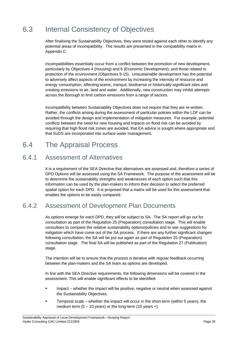# 6.3 Internal Consistency of Objectives

After finalising the Sustainability Objectives, they were tested against each other to identify any potential areas of incompatibility. The results are presented in the compatibility matrix in Appendix C.

Incompatibilities essentially occur from a conflict between the promotion of new development, particularly by Objectives 4 (Housing) and 6 (Economic Development), and those related to protection of the environment (Objectives 9-15). Unsustainable development has the potential to adversely affect aspects of the environment by increasing the intensity of resource and energy consumption, affecting scenic, tranquil, biodiverse or historically-significant sites and creating emissions to air, land and water. Additionally, new construction may inhibit attempts across the Borough to limit carbon emissions from a range of sectors.

Rather, the conflicts arising during the assessment of particular policies within the LDF can be avoided through the design and implementation of mitigation measures. For example, potential conflicts between the need for new housing and impacts on flood risk can be avoided by requiring that high flood risk zones are avoided, that EA advice is sought where appropriate and that SuDS are incorporated into surface water management. Incompatibility between Sustainability Objectives does not require that they are re-written.

## 6.4 The Appraisal Process

### 6.4.1 Assessment of Alternatives

It is a requirement of the SEA Directive that alternatives are assessed and, therefore a series of DPD Options will be assessed using the SA Framework. The purpose of the assessment will be to determine the sustainability strengths and weaknesses of each option such that this information can be used by the plan-makers to inform their decision to select the preferred spatial option for each DPD. It is proposed that a matrix will be used for this assessment that enables the options to be easily compared.

## 6.4.2 Assessment of Development Plan Documents

As options emerge for each DPD, they will be subject to SA. The SA report will go out for consultation as part of the Regulation 25 (Preparation) consultation stage. This will enable consultees to compare the relative sustainability options/policies and to see suggestions for mitigation which have come out of the SA process. If there are any further significant changes following consultation, the SA will be put out again as part of Regulation 25 (Preparation) consultation stage. The final SA will be published as part of the Regulation 27 (Publication) stage.

The intention will be to ensure that the process is iterative with regular feedback occurring between the plan-makers and the SA team as options are developed.

In line with the SEA Directive requirements, the following dimensions will be covered in the assessment. This will enable significant effects to be identified:

- **IMP** 15 Impact whether the impact will be positive, negative or neutral when assessed against the Sustainability Objectives.
- Temporal scale whether the impact will occur in the short-term (within 5 years), the medium term  $(5 - 10 \text{ years})$  or the long-term  $(10 \text{ years} +)$ .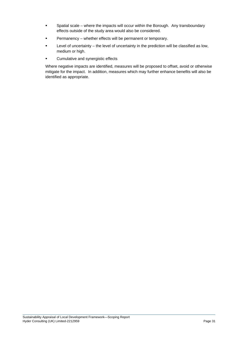- **Spatial scale where the impacts will occur within the Borough. Any transboundary** effects outside of the study area would also be considered.
- Permanency whether effects will be permanent or temporary.
- **E** Level of uncertainty the level of uncertainty in the prediction will be classified as low, medium or high.
- Cumulative and synergistic effects

Where negative impacts are identified, measures will be proposed to offset, avoid or otherwise mitigate for the impact. In addition, measures which may further enhance benefits will also be identified as appropriate.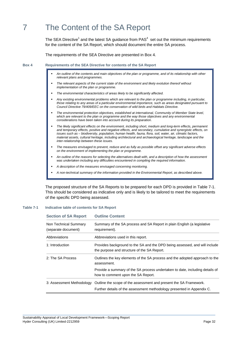# 7 The Content of the SA Report

The SEA Directive<sup>1</sup> and the latest SA guidance from PAS<sup>4</sup> set out the minimum requirements for the content of the SA Report, which should document the entire SA process.

The requirements of the SEA Directive are presented in Box 4.

**Box 4** Requirements of the SEA Directive for contents of the SA Report

- **a** An outline of the contents and main objectives of the plan or programme, and of its relationship with other *relevant plans and programmes.*
- **The relevant aspects of the current state of the environment and likely evolution thereof without <b>read as a vert** *implementation of the plan or programme.*
- *The environmental characteristics of areas likely to be significantly affected.*
- *e* Any existing environmental problems which are relevant to the plan or programme including, in particular, those relating to any areas of a particular environmental importance, such as areas designated pursuant to Council Directive 79/409/EEC on the conservation of wild birds and Habitats Directive.
- **The environmental protection objectives, established at international, Community of Member State level,** which are relevant to the plan or programme and the way those objectives and any environmental *considerations have been taken into account during its preparation.*
- **F-The likely significant effects on the environment, including short, medium and long-term effects, permanent and promanent and promanent** and temporary effects, positive and negative effects, and secondary, cumulative and synergistic effects, on *issues such as – biodiversity, population, human health, fauna, flora, soil, water, air, climatic factors,*  material assets, cultural heritage, including architectural and archaeological heritage, landscape and the *inter-relationship between these issues.*
- *The measures envisaged to prevent, reduce and as fully as possible offset any significant adverse effects on the environment of implementing the plan or programme.*
- *An outline of the reasons for selecting the alternatives dealt with, and a description of how the assessment* was undertaken including any difficulties encountered in compiling the required information.
- *A description of the measures envisaged concerning monitoring.*
- *A non-technical summary of the information provided in the Environmental Report, as described above.*

The proposed structure of the SA Reports to be prepared for each DPD is provided in Table 7-1. This should be considered as indicative only and is likely to be tailored to meet the requirements of the specific DPD being assessed.

## **Table 7-1 lindicative table of contents for SA Report**

| <b>Section of SA Report</b>                  | <b>Outline Content</b>                                                                                                    |  |
|----------------------------------------------|---------------------------------------------------------------------------------------------------------------------------|--|
| Non Technical Summary<br>(separate document) | Summary of the SA process and SA Report in plain English (a legislative<br>requirement).                                  |  |
| Abbreviations                                | Abbreviations used in this report.                                                                                        |  |
| 1: Introduction                              | Provides background to the SA and the DPD being assessed, and will include<br>the purpose and structure of the SA Report. |  |
| 2: The SA Process                            | Outlines the key elements of the SA process and the adopted approach to the<br>assessment.                                |  |
|                                              | Provide a summary of the SA process undertaken to date, including details of<br>how to comment upon the SA Report.        |  |
| 3: Assessment Methodology                    | Outline the scope of the assessment and present the SA Framework.                                                         |  |
|                                              | Further details of the assessment methodology presented in Appendix C.                                                    |  |